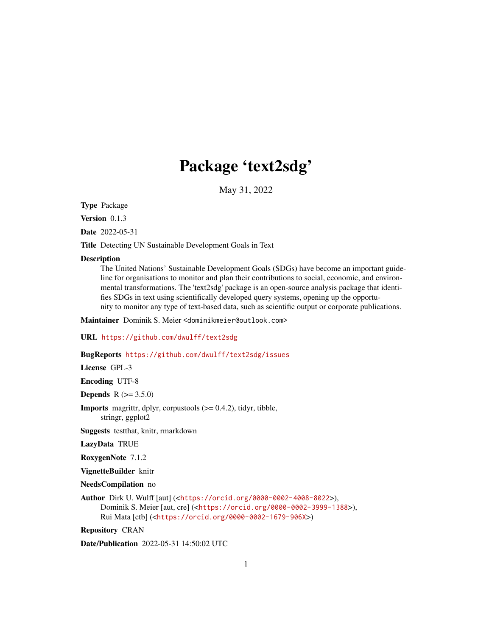# Package 'text2sdg'

May 31, 2022

<span id="page-0-0"></span>Type Package

Version 0.1.3

Date 2022-05-31

Title Detecting UN Sustainable Development Goals in Text

#### **Description**

The United Nations' Sustainable Development Goals (SDGs) have become an important guideline for organisations to monitor and plan their contributions to social, economic, and environmental transformations. The 'text2sdg' package is an open-source analysis package that identifies SDGs in text using scientifically developed query systems, opening up the opportunity to monitor any type of text-based data, such as scientific output or corporate publications.

Maintainer Dominik S. Meier <dominikmeier@outlook.com>

URL <https://github.com/dwulff/text2sdg>

# BugReports <https://github.com/dwulff/text2sdg/issues>

License GPL-3

Encoding UTF-8

**Depends**  $R (= 3.5.0)$ 

**Imports** magrittr, dplyr, corpustools  $(>= 0.4.2)$ , tidyr, tibble, stringr, ggplot2

Suggests testthat, knitr, rmarkdown

LazyData TRUE

RoxygenNote 7.1.2

VignetteBuilder knitr

NeedsCompilation no

Author Dirk U. Wulff [aut] (<<https://orcid.org/0000-0002-4008-8022>>), Dominik S. Meier [aut, cre] (<<https://orcid.org/0000-0002-3999-1388>>), Rui Mata [ctb] (<<https://orcid.org/0000-0002-1679-906X>>)

Repository CRAN

Date/Publication 2022-05-31 14:50:02 UTC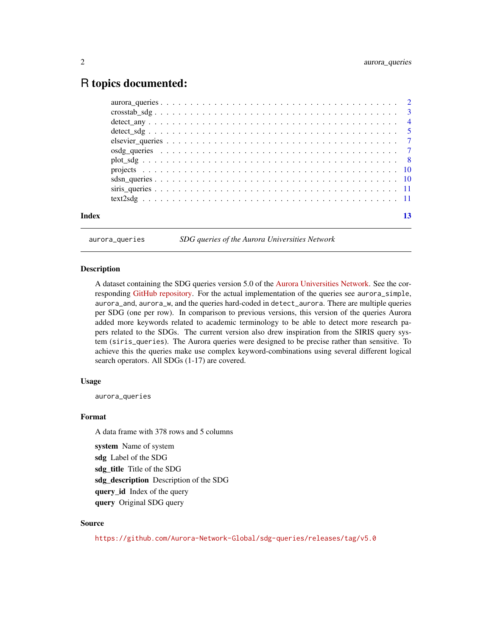# <span id="page-1-0"></span>R topics documented:

| Index | 13 |
|-------|----|
|       |    |
|       |    |
|       |    |
|       |    |
|       |    |
|       |    |
|       |    |
|       |    |
|       |    |
|       |    |
|       |    |

<span id="page-1-1"></span>

aurora\_queries *SDG queries of the Aurora Universities Network*

#### Description

A dataset containing the SDG queries version 5.0 of the [Aurora Universities Network.](https://aurora-universities.eu/) See the corresponding [GitHub repository.](https://github.com/Aurora-Network-Global/sdg-queries) For the actual implementation of the queries see aurora\_simple, aurora\_and, aurora\_w, and the queries hard-coded in detect\_aurora. There are multiple queries per SDG (one per row). In comparison to previous versions, this version of the queries Aurora added more keywords related to academic terminology to be able to detect more research papers related to the SDGs. The current version also drew inspiration from the SIRIS query system (siris\_queries). The Aurora queries were designed to be precise rather than sensitive. To achieve this the queries make use complex keyword-combinations using several different logical search operators. All SDGs (1-17) are covered.

# Usage

aurora\_queries

#### Format

A data frame with 378 rows and 5 columns

system Name of system sdg Label of the SDG sdg\_title Title of the SDG sdg\_description Description of the SDG query\_id Index of the query query Original SDG query

#### Source

<https://github.com/Aurora-Network-Global/sdg-queries/releases/tag/v5.0>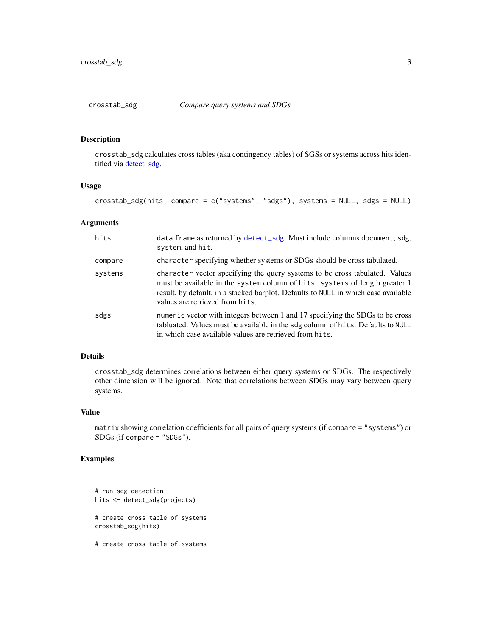<span id="page-2-1"></span><span id="page-2-0"></span>

# Description

crosstab\_sdg calculates cross tables (aka contingency tables) of SGSs or systems across hits identified via [detect\\_sdg.](#page-4-1)

#### Usage

crosstab\_sdg(hits, compare = c("systems", "sdgs"), systems = NULL, sdgs = NULL)

#### Arguments

| hits    | data frame as returned by detect_sdg. Must include columns document, sdg,<br>system, and hit.                                                                                                                                                                                       |
|---------|-------------------------------------------------------------------------------------------------------------------------------------------------------------------------------------------------------------------------------------------------------------------------------------|
| compare | character specifying whether systems or SDGs should be cross tabulated.                                                                                                                                                                                                             |
| systems | character vector specifying the query systems to be cross tabulated. Values<br>must be available in the system column of hits. systems of length greater 1<br>result, by default, in a stacked barplot. Defaults to NULL in which case available<br>values are retrieved from hits. |
| sdgs    | numeric vector with integers between 1 and 17 specifying the SDGs to be cross<br>tabluated. Values must be available in the sdg column of hits. Defaults to NULL<br>in which case available values are retrieved from hits.                                                         |

#### Details

crosstab\_sdg determines correlations between either query systems or SDGs. The respectively other dimension will be ignored. Note that correlations between SDGs may vary between query systems.

# Value

matrix showing correlation coefficients for all pairs of query systems (if compare = "systems") or SDGs (if compare = "SDGs").

```
# run sdg detection
hits <- detect_sdg(projects)
# create cross table of systems
crosstab_sdg(hits)
# create cross table of systems
```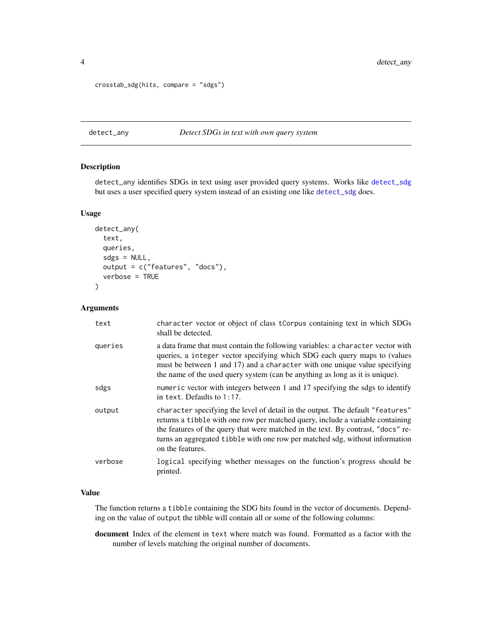```
crosstab_sdg(hits, compare = "sdgs")
```
# <span id="page-3-1"></span>detect\_any *Detect SDGs in text with own query system*

# Description

detect\_any identifies SDGs in text using user provided query systems. Works like [detect\\_sdg](#page-4-1) but uses a user specified query system instead of an existing one like [detect\\_sdg](#page-4-1) does.

#### Usage

```
detect_any(
  text,
  queries,
  sdgs = NULL,output = c("features", "docs"),
  verbose = TRUE
)
```
#### Arguments

| text    | character vector or object of class tCorpus containing text in which SDGs<br>shall be detected.                                                                                                                                                                                                                                                          |
|---------|----------------------------------------------------------------------------------------------------------------------------------------------------------------------------------------------------------------------------------------------------------------------------------------------------------------------------------------------------------|
| queries | a data frame that must contain the following variables: a character vector with<br>queries, a integer vector specifying which SDG each query maps to (values<br>must be between 1 and 17) and a character with one unique value specifying<br>the name of the used query system (can be anything as long as it is unique).                               |
| sdgs    | numeric vector with integers between 1 and 17 specifying the sdgs to identify<br>in text. Defaults to $1:17$ .                                                                                                                                                                                                                                           |
| output  | character specifying the level of detail in the output. The default "features"<br>returns a tibble with one row per matched query, include a variable containing<br>the features of the query that were matched in the text. By contrast, "docs" re-<br>turns an aggregated tibble with one row per matched sdg, without information<br>on the features. |
| verbose | logical specifying whether messages on the function's progress should be<br>printed.                                                                                                                                                                                                                                                                     |

# Value

The function returns a tibble containing the SDG hits found in the vector of documents. Depending on the value of output the tibble will contain all or some of the following columns:

document Index of the element in text where match was found. Formatted as a factor with the number of levels matching the original number of documents.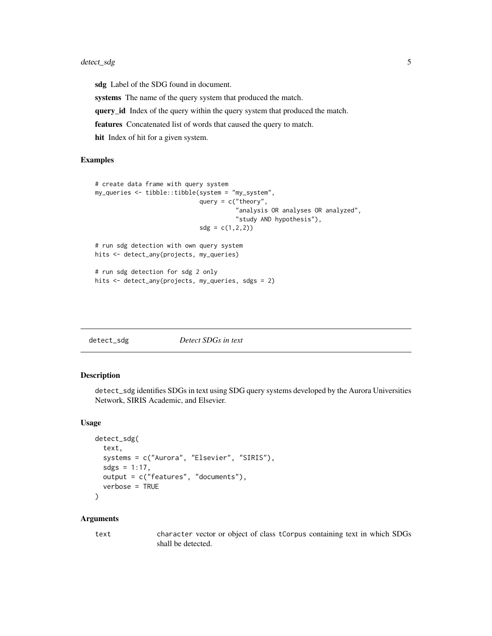# <span id="page-4-0"></span>detect\_sdg 5

sdg Label of the SDG found in document. systems The name of the query system that produced the match. query\_id Index of the query within the query system that produced the match. features Concatenated list of words that caused the query to match. hit Index of hit for a given system.

# Examples

```
# create data frame with query system
my_queries <- tibble::tibble(system = "my_system",
                             query = c("theory","analysis OR analyses OR analyzed",
                                       "study AND hypothesis"),
                             sdg = c(1, 2, 2)# run sdg detection with own query system
hits <- detect_any(projects, my_queries)
# run sdg detection for sdg 2 only
hits <- detect_any(projects, my_queries, sdgs = 2)
```
<span id="page-4-1"></span>

| detect_sdg | Detect SDGs in text |
|------------|---------------------|
|------------|---------------------|

#### Description

detect\_sdg identifies SDGs in text using SDG query systems developed by the Aurora Universities Network, SIRIS Academic, and Elsevier.

# Usage

```
detect_sdg(
  text,
  systems = c("Aurora", "Elsevier", "SIRIS"),
  sdgs = 1:17,
  output = c("features", "documents"),
  verbose = TRUE
)
```
#### **Arguments**

text character vector or object of class tCorpus containing text in which SDGs shall be detected.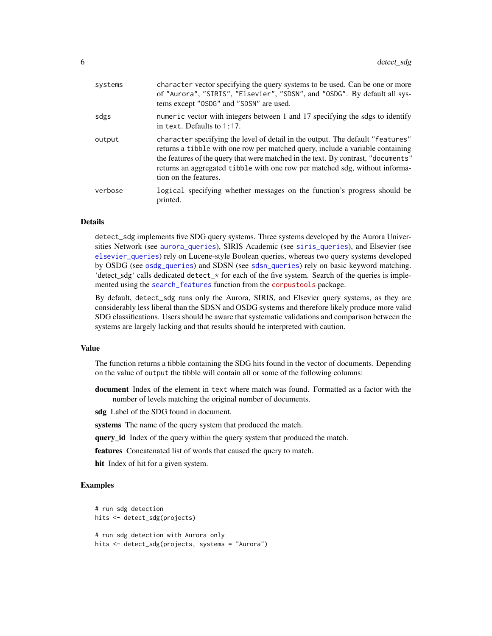<span id="page-5-0"></span>

| systems | character vector specifying the query systems to be used. Can be one or more<br>of "Aurora", "SIRIS", "Elsevier", "SDSN", and "OSDG". By default all sys-<br>tems except "OSDG" and "SDSN" are used.                                                                                                                                                          |
|---------|---------------------------------------------------------------------------------------------------------------------------------------------------------------------------------------------------------------------------------------------------------------------------------------------------------------------------------------------------------------|
| sdgs    | numeric vector with integers between 1 and 17 specifying the sdgs to identify<br>in text. Defaults to $1:17$ .                                                                                                                                                                                                                                                |
| output  | character specifying the level of detail in the output. The default "features"<br>returns a tibble with one row per matched query, include a variable containing<br>the features of the query that were matched in the text. By contrast, "documents"<br>returns an aggregated tibble with one row per matched sdg, without informa-<br>tion on the features. |
| verbose | logical specifying whether messages on the function's progress should be<br>printed.                                                                                                                                                                                                                                                                          |

# Details

detect\_sdg implements five SDG query systems. Three systems developed by the Aurora Universities Network (see [aurora\\_queries](#page-1-1)), SIRIS Academic (see [siris\\_queries](#page-10-1)), and Elsevier (see [elsevier\\_queries](#page-6-1)) rely on Lucene-style Boolean queries, whereas two query systems developed by OSDG (see [osdg\\_queries](#page-6-2)) and SDSN (see [sdsn\\_queries](#page-9-1)) rely on basic keyword matching. 'detect sdg' calls dedicated detect\_ $\star$  for each of the five system. Search of the queries is implemented using the [search\\_features](#page-0-0) function from the [corpustools](https://cran.r-project.org/package=corpustools) package.

By default, detect\_sdg runs only the Aurora, SIRIS, and Elsevier query systems, as they are considerably less liberal than the SDSN and OSDG systems and therefore likely produce more valid SDG classifications. Users should be aware that systematic validations and comparison between the systems are largely lacking and that results should be interpreted with caution.

# Value

The function returns a tibble containing the SDG hits found in the vector of documents. Depending on the value of output the tibble will contain all or some of the following columns:

document Index of the element in text where match was found. Formatted as a factor with the number of levels matching the original number of documents.

sdg Label of the SDG found in document.

systems The name of the query system that produced the match.

query\_id Index of the query within the query system that produced the match.

features Concatenated list of words that caused the query to match.

hit Index of hit for a given system.

```
# run sdg detection
hits <- detect_sdg(projects)
# run sdg detection with Aurora only
hits <- detect_sdg(projects, systems = "Aurora")
```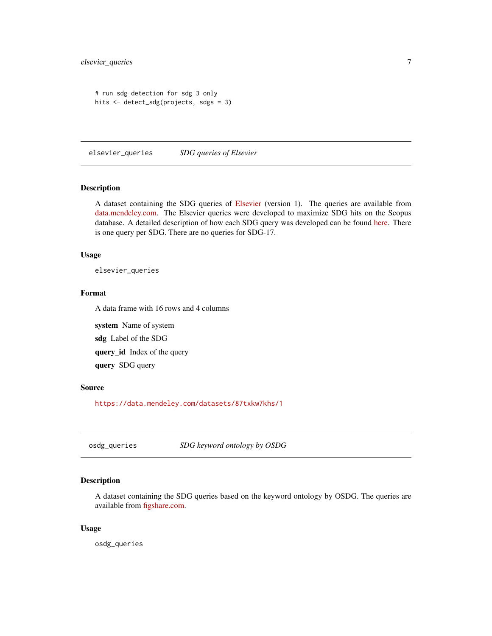```
# run sdg detection for sdg 3 only
hits <- detect_sdg(projects, sdgs = 3)
```
<span id="page-6-1"></span>elsevier\_queries *SDG queries of Elsevier*

#### Description

A dataset containing the SDG queries of [Elsevier](https://www.elsevier.com/connect/sdg-report) (version 1). The queries are available from [data.mendeley.com.](https://data.mendeley.com/datasets/87txkw7khs/1) The Elsevier queries were developed to maximize SDG hits on the Scopus database. A detailed description of how each SDG query was developed can be found [here.](https://elsevier.digitalcommonsdata.com/datasets/87txkw7khs/1) There is one query per SDG. There are no queries for SDG-17.

# Usage

elsevier\_queries

# Format

A data frame with 16 rows and 4 columns

system Name of system sdg Label of the SDG query\_id Index of the query query SDG query

#### Source

<https://data.mendeley.com/datasets/87txkw7khs/1>

<span id="page-6-2"></span>osdg\_queries *SDG keyword ontology by OSDG*

# Description

A dataset containing the SDG queries based on the keyword ontology by OSDG. The queries are available from [figshare.com.](https://figshare.com/articles/dataset/SDG_ontology/11106113/1)

# Usage

osdg\_queries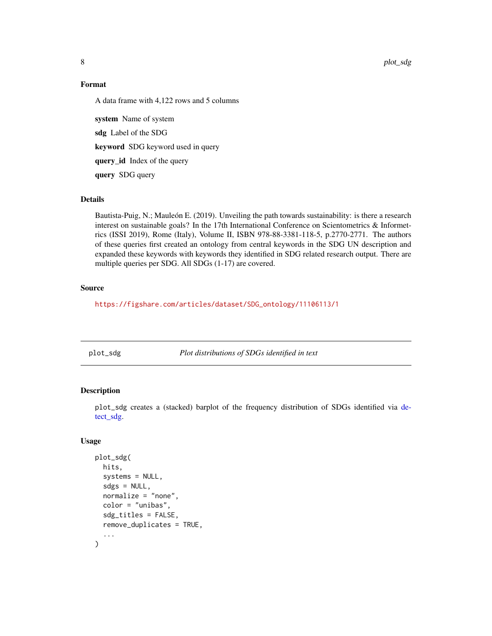8 plot\_sdg

# Format

A data frame with 4,122 rows and 5 columns

system Name of system sdg Label of the SDG keyword SDG keyword used in query query\_id Index of the query query SDG query

# Details

Bautista-Puig, N.; Mauleón E. (2019). Unveiling the path towards sustainability: is there a research interest on sustainable goals? In the 17th International Conference on Scientometrics & Informetrics (ISSI 2019), Rome (Italy), Volume II, ISBN 978-88-3381-118-5, p.2770-2771. The authors of these queries first created an ontology from central keywords in the SDG UN description and expanded these keywords with keywords they identified in SDG related research output. There are multiple queries per SDG. All SDGs (1-17) are covered.

# Source

[https://figshare.com/articles/dataset/SDG\\_ontology/11106113/1](https://figshare.com/articles/dataset/SDG_ontology/11106113/1)

<span id="page-7-1"></span>plot\_sdg *Plot distributions of SDGs identified in text*

# Description

plot\_sdg creates a (stacked) barplot of the frequency distribution of SDGs identified via [de](#page-4-1)[tect\\_sdg.](#page-4-1)

# Usage

```
plot_sdg(
  hits,
  systems = NULL,
  sdgs = NULL,normalize = "none",
  color = "unibas",
  sdg_titles = FALSE,
  remove_duplicates = TRUE,
  ...
)
```
<span id="page-7-0"></span>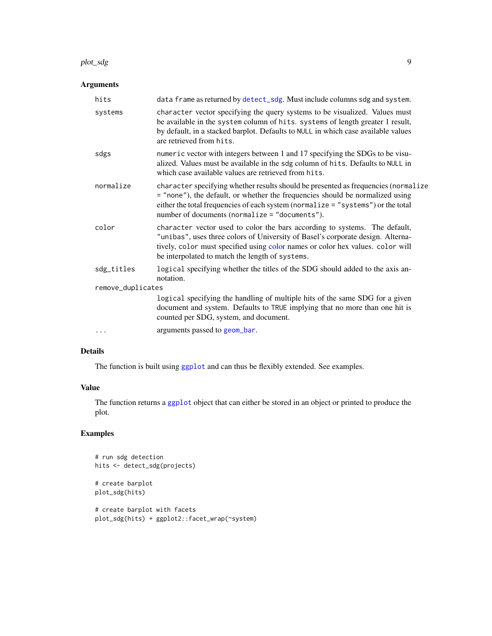#### <span id="page-8-0"></span>plot\_sdg 9

# Arguments

| hits              | data frame as returned by detect_sdg. Must include columns sdg and system.                                                                                                                                                                                                                                |
|-------------------|-----------------------------------------------------------------------------------------------------------------------------------------------------------------------------------------------------------------------------------------------------------------------------------------------------------|
| systems           | character vector specifying the query systems to be visualized. Values must<br>be available in the system column of hits. systems of length greater 1 result,<br>by default, in a stacked barplot. Defaults to NULL in which case available values<br>are retrieved from hits.                            |
| sdgs              | numeric vector with integers between 1 and 17 specifying the SDGs to be visu-<br>alized. Values must be available in the sdg column of hits. Defaults to NULL in<br>which case available values are retrieved from hits.                                                                                  |
| normalize         | character specifying whether results should be presented as frequencies (normalize<br>= "none"), the default, or whether the frequencies should be normalized using<br>either the total frequencies of each system (normalize = "systems") or the total<br>number of documents (normalize = "documents"). |
| color             | character vector used to color the bars according to systems. The default,<br>"unibas", uses three colors of University of Basel's corporate design. Alterna-<br>tively, color must specified using color names or color hex values. color will<br>be interpolated to match the length of systems.        |
| sdg_titles        | logical specifying whether the titles of the SDG should added to the axis an-<br>notation.                                                                                                                                                                                                                |
| remove_duplicates |                                                                                                                                                                                                                                                                                                           |
|                   | logical specifying the handling of multiple hits of the same SDG for a given<br>document and system. Defaults to TRUE implying that no more than one hit is<br>counted per SDG, system, and document.                                                                                                     |
| .                 | arguments passed to geom_bar.                                                                                                                                                                                                                                                                             |

# Details

The function is built using [ggplot](#page-0-0) and can thus be flexibly extended. See examples.

# Value

The function returns a [ggplot](#page-0-0) object that can either be stored in an object or printed to produce the plot.

```
# run sdg detection
hits <- detect_sdg(projects)
# create barplot
plot_sdg(hits)
# create barplot with facets
plot_sdg(hits) + ggplot2::facet_wrap(~system)
```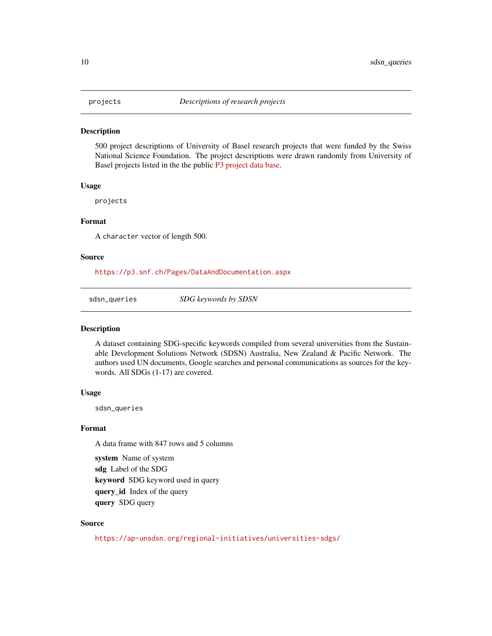<span id="page-9-2"></span><span id="page-9-0"></span>

#### Description

500 project descriptions of University of Basel research projects that were funded by the Swiss National Science Foundation. The project descriptions were drawn randomly from University of Basel projects listed in the the public [P3 project data base.](https://p3.snf.ch)

#### Usage

projects

# Format

A character vector of length 500.

# Source

<https://p3.snf.ch/Pages/DataAndDocumentation.aspx>

<span id="page-9-1"></span>sdsn\_queries *SDG keywords by SDSN*

#### Description

A dataset containing SDG-specific keywords compiled from several universities from the Sustainable Development Solutions Network (SDSN) Australia, New Zealand & Pacific Network. The authors used UN documents, Google searches and personal communications as sources for the keywords. All SDGs (1-17) are covered.

#### Usage

sdsn\_queries

# Format

A data frame with 847 rows and 5 columns

system Name of system sdg Label of the SDG keyword SDG keyword used in query query\_id Index of the query query SDG query

# Source

<https://ap-unsdsn.org/regional-initiatives/universities-sdgs/>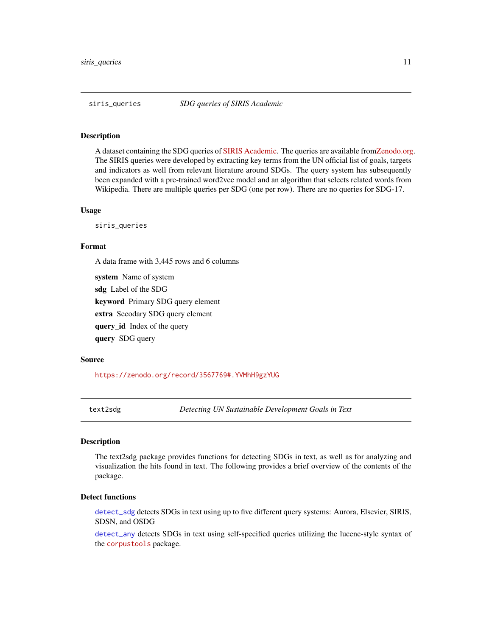<span id="page-10-1"></span><span id="page-10-0"></span>

#### **Description**

A dataset containing the SDG queries of [SIRIS Academic.](http://www.sirislab.com/lab/sdg-research-mapping/) The queries are available fro[mZenodo.org.](https://zenodo.org/record/3567769#.YRY9xdMzY8N) The SIRIS queries were developed by extracting key terms from the UN official list of goals, targets and indicators as well from relevant literature around SDGs. The query system has subsequently been expanded with a pre-trained word2vec model and an algorithm that selects related words from Wikipedia. There are multiple queries per SDG (one per row). There are no queries for SDG-17.

#### Usage

siris\_queries

query SDG query

# Format

A data frame with 3,445 rows and 6 columns

system Name of system sdg Label of the SDG keyword Primary SDG query element extra Secodary SDG query element query\_id Index of the query

#### Source

<https://zenodo.org/record/3567769#.YVMhH9gzYUG>

text2sdg *Detecting UN Sustainable Development Goals in Text*

# Description

The text2sdg package provides functions for detecting SDGs in text, as well as for analyzing and visualization the hits found in text. The following provides a brief overview of the contents of the package.

# Detect functions

[detect\\_sdg](#page-4-1) detects SDGs in text using up to five different query systems: Aurora, Elsevier, SIRIS, SDSN, and OSDG

[detect\\_any](#page-3-1) detects SDGs in text using self-specified queries utilizing the lucene-style syntax of the [corpustools](https://cran.r-project.org/package=corpustools) package.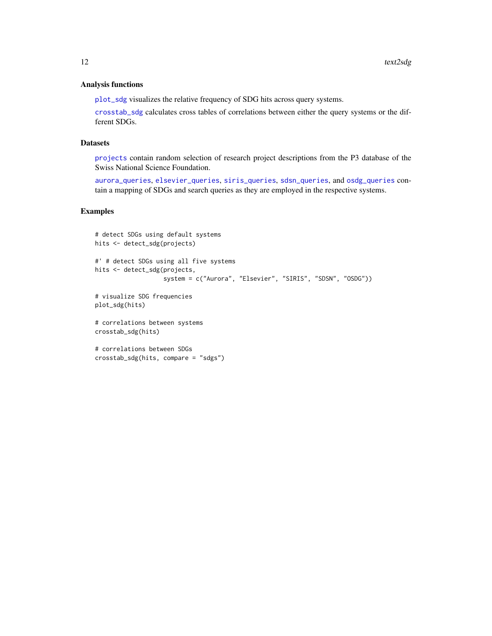#### <span id="page-11-0"></span>Analysis functions

[plot\\_sdg](#page-7-1) visualizes the relative frequency of SDG hits across query systems.

[crosstab\\_sdg](#page-2-1) calculates cross tables of correlations between either the query systems or the different SDGs.

# **Datasets**

[projects](#page-9-2) contain random selection of research project descriptions from the P3 database of the Swiss National Science Foundation.

[aurora\\_queries](#page-1-1), [elsevier\\_queries](#page-6-1), [siris\\_queries](#page-10-1), [sdsn\\_queries](#page-9-1), and [osdg\\_queries](#page-6-2) contain a mapping of SDGs and search queries as they are employed in the respective systems.

```
# detect SDGs using default systems
hits <- detect_sdg(projects)
#' # detect SDGs using all five systems
hits <- detect_sdg(projects,
                  system = c("Aurora", "Elsevier", "SIRIS", "SDSN", "OSDG"))
# visualize SDG frequencies
plot_sdg(hits)
# correlations between systems
crosstab_sdg(hits)
# correlations between SDGs
crosstab_sdg(hits, compare = "sdgs")
```